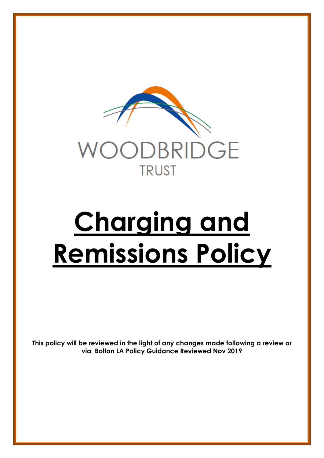

# **Charging and Remissions Policy**

**This policy will be reviewed in the light of any changes made following a review or via Bolton LA Policy Guidance Reviewed Nov 2019**